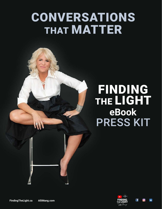# CONVERSATIONS THAT MATTER

## FINDING THE LIGHT **eBook** PRESS KIT



Œ

 $\overline{O}$ 

 $\overline{\mathbf{m}}$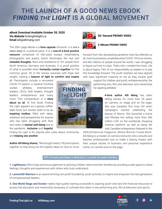## THE LAUNCH OF A GOOD NEWS EBOOK *FINDING THE LIGHT* IS A GLOBAL MOVEMENT

#### **eBook Download Available October 28, 2020 Via Website** [findingthelight.ca](http://www.findingthelight.ca) **Email** [alli@allimang.com](mailto:alli@allimang.com)

The 200+ page eBook is a time capsule chronicle. It is not a news story or a political piece. It is a one-of-a-kind positive resource comprised of bite-sized essays, breathtaking photographs and poetry, which illuminates the real and relatable thoughts, fears and revelations of 70+ people from North America, Germany and Australia. It is proof positive of what is possible when **humanity comes together** for the common good. All of the stories resonate with hope and insight, casting a beacon of light to comfort and inspire

all. Participants include; a recovered COVID-19 patient, a medical frontline worker, athletes, entertainment leaders, CEO's, faith leaders, thought leaders, entrepreneurs and many more. This compendium is a story about us all. At first blush Finding the Light appears as a glossy coffeetable book, but reveals itself to be an inspiring toolbox; filled with ideas, solutions and perspectives for anyone who has been struggling with their own state of mental well-being due to the pandemic. Inclusive and hopeful,

*Finding the Light* is for anyone who cares about community and helping one another.

Author Alli Mang shares, "We brought nearly 100 participants together to help bring out the hopeful ideas on how to move





#### **[50–Second PROMO VIDEO](https://www.youtube.com/watch?v=nv8nzzGDsYk)**



#### **[2-Minute PROMO VIDEO](https://youtu.be/4IOxFRWyrXo)**

forward from this devastating pandemic that has affected us all. I lost my business completely when COVID-19 hit our shores, and like millions of people around the world, I was struggling to figure out how to cope. That's why I created this book. Life is about legacy. Part of our responsibility as leaders is to pay this knowledge forward. The youth charities we have aligned with have significant meaning to me as they involve grief

> support for children and youth, entrepreneurship, the performing arts, film and television and mentorship for aspiring athletes."

> > 4-time author Alli Mang has been telling stories for more than 35 years on camera, on stage and on the page. She was Canada's first Ivory Girl when campaigns started celebrating the beauty of Moms. She launched a home and lifestyle line selling more than \$40 million LIVE on the worldwide shopping channel platform as well as being the only Canadian entrepreneur featured in the

2020 US National magazine, Where Women Create Work. Alli Mang is a master on camera instructor who consults and teaches professionals how to make a lasting impact with their unique stories of business and personal experience online, on camera and on the page.

#### 50% of every purchase is directed to 3 youth-focused charities:

**1. Lighthouse** offers hope and encouragement to grieving children, teens and their families by providing a safe space to share feelings, thoughts and experiences with others who truly understand.

**2. LemonAID Warriors** is an award-winning non-profit founded by youth activists, to inspire and empower the next generation of compassionate leaders.

**3. One World Stage and Screen** makes high quality training accessible to aspiring youth who lack the financial resources to access the education and mentorship necessary to cultivate their talent in the performing arts, film & television and sports.



 $\boxed{0}$ 

**in**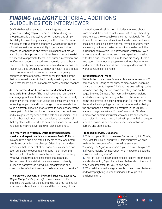## *FINDING THE LIGHT* EDITORIAL ADDITIONS GUIDELINES FOR INTERVIEWER

COVID-19 has taken away so many things we took for granted; attending religious services, school, dining out, shopping, movie theatres, live performances, and simply the ability to move freely in society - without fear. But what we realized throughout the pandemic, was that the impact of what we lost was not our ability to go places, but to commune with friends and family. This period of time, as alarming and fear provoking as it has been, may be the elixir we needed to appreciate the value of human interaction, and reaffirm our hunger and need to engage with each other in person. Not only has this pandemic caused another possible reason for those struggling with mental health to be affected, but it has introduced our entire population to a greatly heightened state of anxiety. We've all felt this shift in living that has caused society to begin really speaking about our own personal struggles in a far more comprehensive manner.

#### Jazz performer, Juno Award winner and national radio

host, Laila Biali shares: "The headlines are not particularly encouraging for the entertainment industry. I've had to really contend with the 'game over' voices. It's been something of a reckoning for people and I don't judge those who've decided to go a different direction. I too, started to consider alternative career paths. But the conclusion I've reached has reaffirmed and reinvigorated my sense of "the call" as a musician - on a whole other level. I now have a completely renewed resolve that my place in the world is to create and share music. I will hold fast to making it work and will plan accordingly."

#### The Afterword is written by world-renowned keynote speaker and expert on crisis and renewal David K. Hurst.

"No one likes a crisis but often it seems to take one before people and organizations change. Crises like the pandemic remind us that the secret of our success as a species has been our ability to cooperate in groups much larger than the family. And that takes empathy and common decency. Whatever the horrors and challenges that lie ahead, the outcome of this trial will be a new sense of identity, a renewed narrative for individuals, organizations and communities of what it means to be human and to be alive."

#### The Foreword was written by retired Business Executive,

Wayne Mang. "*Finding the Light* provides a recipe for changing the world for the better and is required reading for all who care about their families and the well-being of this

planet that we all call home. It includes stunning photos from around the world as well as over 70 essays shared by experienced, knowledgeable and caring individuals from four different countries and all walks of life who have dealt with crisis and are talking in raw and real terms about how they are leaning on their experiences and tools to deal with the current pandemic crisis. The afterword is written by David K. Hurst, a world renowned author and speaker on dealing with Crisis and Renewal. Be sure to read his essay. It tells a true story of how regular people worked together to renew and recalibrate their actions and thinking under some of the worst conditions imaginable."

#### Introduction of Alli Mang

We're thrilled to welcome 4-time author, entrepreneur and TV personality Alli Mang to the show to discuss her upcoming book that is sure to inspire! Alli Mang has been telling stories for more than 35 years on camera, on stage and on the page. She was Canada's first Ivory Girl when campaigns started celebrating the beauty of Moms. She launched a home and lifestyle line selling more than \$40 million LIVE on the worldwide shopping channel platform as well as being the only Canadian entrepreneur featured in the 2020 U.S. National magazine, *Where Women Create Work.* Alli Mang is a master on camera instructor who consults and teaches professionals how to make a lasting impact with their unique stories of business and personal experience online, on camera and on the page.

#### Proposed Interview Questions

1. This is in your 4th book release. Before we dig into *Finding The Light*, tell us a bit about your literary journey- which is really only one corner of your very diverse career.

2. *Finding The Light*- what inspired you to curate this piece? 3. If you're looking for inspiration, what makes this book the choice to make right now?

4. This isn't just a book that benefits its readers but the sales are also benefiting 3 youth charities. Tell us about them and why it was important for you to give back.

5. What advice would you give people to overcome obstacles and to keep fighting to reach their goals through this challenging time?



F

 $\boxed{0}$ 

**in**